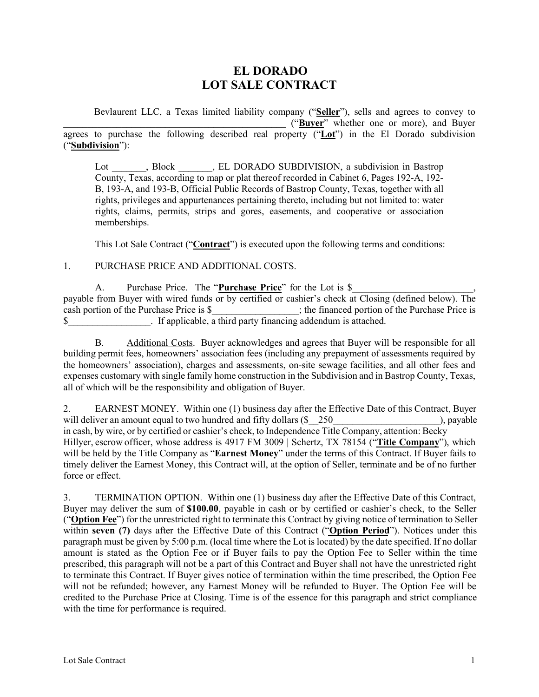# **EL DORADO LOT SALE CONTRACT**

Bevlaurent LLC, a Texas limited liability company ("**Seller**"), sells and agrees to convey to **\_\_\_\_\_\_\_\_\_\_\_\_\_\_\_\_\_\_\_\_\_\_\_\_\_\_\_\_\_\_\_\_\_\_\_\_\_\_\_\_\_\_\_\_\_\_** ("**Buyer**" whether one or more), and Buyer agrees to purchase the following described real property ("**Lot**") in the El Dorado subdivision ("**Subdivision**"):

Lot . Block . EL DORADO SUBDIVISION, a subdivision in Bastrop County, Texas, according to map or plat thereof recorded in Cabinet 6, Pages 192-A, 192- B, 193-A, and 193-B, Official Public Records of Bastrop County, Texas, together with all rights, privileges and appurtenances pertaining thereto, including but not limited to: water rights, claims, permits, strips and gores, easements, and cooperative or association memberships.

This Lot Sale Contract ("**Contract**") is executed upon the following terms and conditions:

1. PURCHASE PRICE AND ADDITIONAL COSTS.

| Purchase Price. The "Purchase Price" for the Lot is \$                                                 |                                                                |                                                 |
|--------------------------------------------------------------------------------------------------------|----------------------------------------------------------------|-------------------------------------------------|
| payable from Buyer with wired funds or by certified or cashier's check at Closing (defined below). The |                                                                |                                                 |
| cash portion of the Purchase Price is \$                                                               |                                                                | ; the financed portion of the Purchase Price is |
|                                                                                                        | . If applicable, a third party financing addendum is attached. |                                                 |

B. Additional Costs. Buyer acknowledges and agrees that Buyer will be responsible for all building permit fees, homeowners' association fees (including any prepayment of assessments required by the homeowners' association), charges and assessments, on-site sewage facilities, and all other fees and expenses customary with single family home construction in the Subdivision and in Bastrop County, Texas, all of which will be the responsibility and obligation of Buyer.

2. EARNEST MONEY. Within one (1) business day after the Effective Date of this Contract, Buyer will deliver an amount equal to two hundred and fifty dollars (\$250 and  $\frac{1}{250}$ ), payable in cash, by wire, or by certified or cashier's check, to Independence Title Company, attention: Becky Hillyer, escrow officer, whose address is 4917 FM 3009 | Schertz, TX 78154 ("**Title Company**"), which will be held by the Title Company as "**Earnest Money**" under the terms of this Contract. If Buyer fails to timely deliver the Earnest Money, this Contract will, at the option of Seller, terminate and be of no further force or effect.

3. TERMINATION OPTION. Within one (1) business day after the Effective Date of this Contract, Buyer may deliver the sum of **\$100.00**, payable in cash or by certified or cashier's check, to the Seller ("**Option Fee**") for the unrestricted right to terminate this Contract by giving notice of termination to Seller within **seven (7)** days after the Effective Date of this Contract ("**Option Period**"). Notices under this paragraph must be given by 5:00 p.m. (local time where the Lot is located) by the date specified. If no dollar amount is stated as the Option Fee or if Buyer fails to pay the Option Fee to Seller within the time prescribed, this paragraph will not be a part of this Contract and Buyer shall not have the unrestricted right to terminate this Contract. If Buyer gives notice of termination within the time prescribed, the Option Fee will not be refunded; however, any Earnest Money will be refunded to Buyer. The Option Fee will be credited to the Purchase Price at Closing. Time is of the essence for this paragraph and strict compliance with the time for performance is required.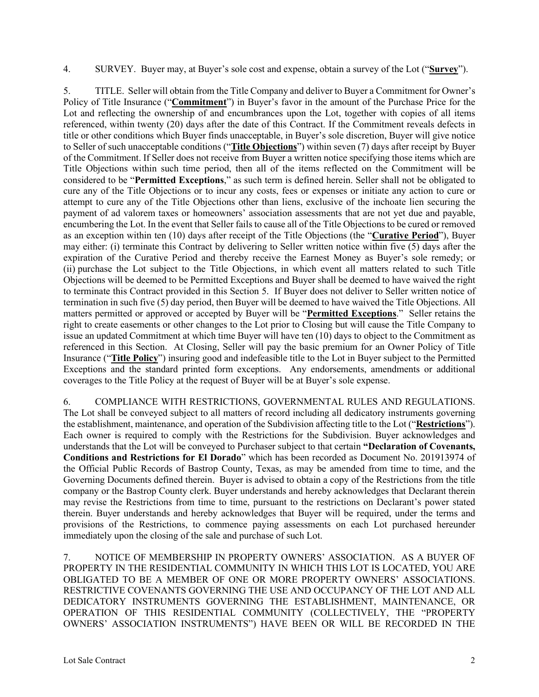4. SURVEY. Buyer may, at Buyer's sole cost and expense, obtain a survey of the Lot ("**Survey**").

5. TITLE. Seller will obtain from the Title Company and deliver to Buyer a Commitment for Owner's Policy of Title Insurance ("**Commitment**") in Buyer's favor in the amount of the Purchase Price for the Lot and reflecting the ownership of and encumbrances upon the Lot, together with copies of all items referenced, within twenty (20) days after the date of this Contract. If the Commitment reveals defects in title or other conditions which Buyer finds unacceptable, in Buyer's sole discretion, Buyer will give notice to Seller of such unacceptable conditions ("**Title Objections**") within seven (7) days after receipt by Buyer of the Commitment. If Seller does not receive from Buyer a written notice specifying those items which are Title Objections within such time period, then all of the items reflected on the Commitment will be considered to be "**Permitted Exceptions**," as such term is defined herein. Seller shall not be obligated to cure any of the Title Objections or to incur any costs, fees or expenses or initiate any action to cure or attempt to cure any of the Title Objections other than liens, exclusive of the inchoate lien securing the payment of ad valorem taxes or homeowners' association assessments that are not yet due and payable, encumbering the Lot. In the event that Seller fails to cause all of the Title Objections to be cured or removed as an exception within ten (10) days after receipt of the Title Objections (the "**Curative Period**"), Buyer may either: (i) terminate this Contract by delivering to Seller written notice within five (5) days after the expiration of the Curative Period and thereby receive the Earnest Money as Buyer's sole remedy; or (ii) purchase the Lot subject to the Title Objections, in which event all matters related to such Title Objections will be deemed to be Permitted Exceptions and Buyer shall be deemed to have waived the right to terminate this Contract provided in this Section 5. If Buyer does not deliver to Seller written notice of termination in such five (5) day period, then Buyer will be deemed to have waived the Title Objections. All matters permitted or approved or accepted by Buyer will be "**Permitted Exceptions**." Seller retains the right to create easements or other changes to the Lot prior to Closing but will cause the Title Company to issue an updated Commitment at which time Buyer will have ten (10) days to object to the Commitment as referenced in this Section. At Closing, Seller will pay the basic premium for an Owner Policy of Title Insurance ("**Title Policy**") insuring good and indefeasible title to the Lot in Buyer subject to the Permitted Exceptions and the standard printed form exceptions. Any endorsements, amendments or additional coverages to the Title Policy at the request of Buyer will be at Buyer's sole expense.

6. COMPLIANCE WITH RESTRICTIONS, GOVERNMENTAL RULES AND REGULATIONS. The Lot shall be conveyed subject to all matters of record including all dedicatory instruments governing the establishment, maintenance, and operation of the Subdivision affecting title to the Lot ("**Restrictions**"). Each owner is required to comply with the Restrictions for the Subdivision. Buyer acknowledges and understands that the Lot will be conveyed to Purchaser subject to that certain **"Declaration of Covenants, Conditions and Restrictions for El Dorado**" which has been recorded as Document No. 201913974 of the Official Public Records of Bastrop County, Texas, as may be amended from time to time, and the Governing Documents defined therein. Buyer is advised to obtain a copy of the Restrictions from the title company or the Bastrop County clerk. Buyer understands and hereby acknowledges that Declarant therein may revise the Restrictions from time to time, pursuant to the restrictions on Declarant's power stated therein. Buyer understands and hereby acknowledges that Buyer will be required, under the terms and provisions of the Restrictions, to commence paying assessments on each Lot purchased hereunder immediately upon the closing of the sale and purchase of such Lot.

7. NOTICE OF MEMBERSHIP IN PROPERTY OWNERS' ASSOCIATION. AS A BUYER OF PROPERTY IN THE RESIDENTIAL COMMUNITY IN WHICH THIS LOT IS LOCATED, YOU ARE OBLIGATED TO BE A MEMBER OF ONE OR MORE PROPERTY OWNERS' ASSOCIATIONS. RESTRICTIVE COVENANTS GOVERNING THE USE AND OCCUPANCY OF THE LOT AND ALL DEDICATORY INSTRUMENTS GOVERNING THE ESTABLISHMENT, MAINTENANCE, OR OPERATION OF THIS RESIDENTIAL COMMUNITY (COLLECTIVELY, THE "PROPERTY OWNERS' ASSOCIATION INSTRUMENTS") HAVE BEEN OR WILL BE RECORDED IN THE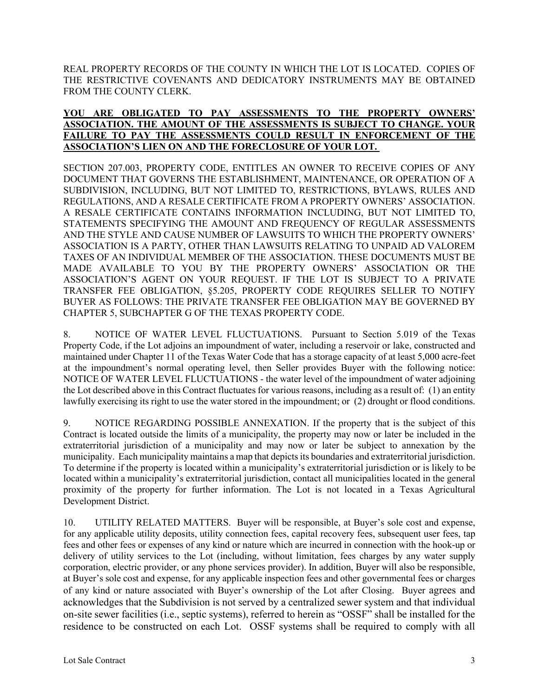REAL PROPERTY RECORDS OF THE COUNTY IN WHICH THE LOT IS LOCATED. COPIES OF THE RESTRICTIVE COVENANTS AND DEDICATORY INSTRUMENTS MAY BE OBTAINED FROM THE COUNTY CLERK.

## **YOU ARE OBLIGATED TO PAY ASSESSMENTS TO THE PROPERTY OWNERS' ASSOCIATION. THE AMOUNT OF THE ASSESSMENTS IS SUBJECT TO CHANGE. YOUR FAILURE TO PAY THE ASSESSMENTS COULD RESULT IN ENFORCEMENT OF THE ASSOCIATION'S LIEN ON AND THE FORECLOSURE OF YOUR LOT.**

SECTION 207.003, PROPERTY CODE, ENTITLES AN OWNER TO RECEIVE COPIES OF ANY DOCUMENT THAT GOVERNS THE ESTABLISHMENT, MAINTENANCE, OR OPERATION OF A SUBDIVISION, INCLUDING, BUT NOT LIMITED TO, RESTRICTIONS, BYLAWS, RULES AND REGULATIONS, AND A RESALE CERTIFICATE FROM A PROPERTY OWNERS' ASSOCIATION. A RESALE CERTIFICATE CONTAINS INFORMATION INCLUDING, BUT NOT LIMITED TO, STATEMENTS SPECIFYING THE AMOUNT AND FREQUENCY OF REGULAR ASSESSMENTS AND THE STYLE AND CAUSE NUMBER OF LAWSUITS TO WHICH THE PROPERTY OWNERS' ASSOCIATION IS A PARTY, OTHER THAN LAWSUITS RELATING TO UNPAID AD VALOREM TAXES OF AN INDIVIDUAL MEMBER OF THE ASSOCIATION. THESE DOCUMENTS MUST BE MADE AVAILABLE TO YOU BY THE PROPERTY OWNERS' ASSOCIATION OR THE ASSOCIATION'S AGENT ON YOUR REQUEST. IF THE LOT IS SUBJECT TO A PRIVATE TRANSFER FEE OBLIGATION, §5.205, PROPERTY CODE REQUIRES SELLER TO NOTIFY BUYER AS FOLLOWS: THE PRIVATE TRANSFER FEE OBLIGATION MAY BE GOVERNED BY CHAPTER 5, SUBCHAPTER G OF THE TEXAS PROPERTY CODE.

8. NOTICE OF WATER LEVEL FLUCTUATIONS. Pursuant to Section 5.019 of the Texas Property Code, if the Lot adjoins an impoundment of water, including a reservoir or lake, constructed and maintained under Chapter 11 of the Texas Water Code that has a storage capacity of at least 5,000 acre-feet at the impoundment's normal operating level, then Seller provides Buyer with the following notice: NOTICE OF WATER LEVEL FLUCTUATIONS - the water level of the impoundment of water adjoining the Lot described above in this Contract fluctuates for various reasons, including as a result of: (1) an entity lawfully exercising its right to use the water stored in the impoundment; or (2) drought or flood conditions.

9. NOTICE REGARDING POSSIBLE ANNEXATION. If the property that is the subject of this Contract is located outside the limits of a municipality, the property may now or later be included in the extraterritorial jurisdiction of a municipality and may now or later be subject to annexation by the municipality. Each municipality maintains a map that depicts its boundaries and extraterritorial jurisdiction. To determine if the property is located within a municipality's extraterritorial jurisdiction or is likely to be located within a municipality's extraterritorial jurisdiction, contact all municipalities located in the general proximity of the property for further information. The Lot is not located in a Texas Agricultural Development District.

10. UTILITY RELATED MATTERS.Buyer will be responsible, at Buyer's sole cost and expense, for any applicable utility deposits, utility connection fees, capital recovery fees, subsequent user fees, tap fees and other fees or expenses of any kind or nature which are incurred in connection with the hook-up or delivery of utility services to the Lot (including, without limitation, fees charges by any water supply corporation, electric provider, or any phone services provider). In addition, Buyer will also be responsible, at Buyer's sole cost and expense, for any applicable inspection fees and other governmental fees or charges of any kind or nature associated with Buyer's ownership of the Lot after Closing. Buyer agrees and acknowledges that the Subdivision is not served by a centralized sewer system and that individual on-site sewer facilities (i.e., septic systems), referred to herein as "OSSF" shall be installed for the residence to be constructed on each Lot. OSSF systems shall be required to comply with all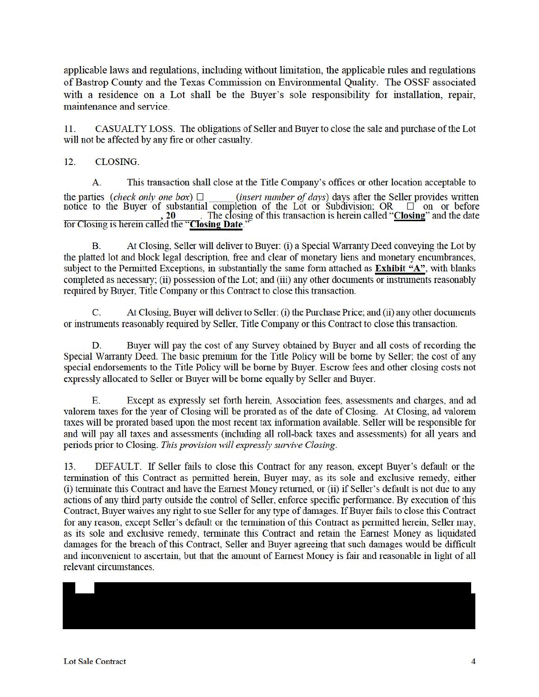applicable laws and regulations, including without limitation, the applicable rules and regulations of Bastrop County and the Texas Commission on Environmental Quality. The OSSF associated with a residence on a Lot shall be the Buyer's sole responsibility for installation, repair, maintenance and service.

 $11$ CASUALTY LOSS. The obligations of Seller and Buyer to close the sale and purchase of the Lot will not be affected by any fire or other casualty.

**CLOSING.**  $12.$ 

This transaction shall close at the Title Company's offices or other location acceptable to  $\mathbf{A}$ . the parties (check only one box)  $\Box$  (insert number of days) days after the Seller provides written notice to the Buyer of substantial completion of the Lot or Subdivision; OR  $\Box$  on or before The closing of this transaction is herein called "Closing" and the date  $.20$ for Closing is herein called the "Closing Date."

At Closing, Seller will deliver to Buyer: (i) a Special Warranty Deed conveying the Lot by В. the platted lot and block legal description, free and clear of monetary liens and monetary encumbrances, subject to the Permitted Exceptions, in substantially the same form attached as Exhibit "A", with blanks completed as necessary; (ii) possession of the Lot; and (iii) any other documents or instruments reasonably required by Buyer, Title Company or this Contract to close this transaction.

At Closing, Buyer will deliver to Seller: (i) the Purchase Price; and (ii) any other documents C. or instruments reasonably required by Seller, Title Company or this Contract to close this transaction.

Buyer will pay the cost of any Survey obtained by Buyer and all costs of recording the D. Special Warranty Deed. The basic premium for the Title Policy will be borne by Seller; the cost of any special endorsements to the Title Policy will be borne by Buyer. Escrow fees and other closing costs not expressly allocated to Seller or Buyer will be borne equally by Seller and Buyer.

Except as expressly set forth herein, Association fees, assessments and charges, and ad Е. valorem taxes for the year of Closing will be prorated as of the date of Closing. At Closing, ad valorem taxes will be prorated based upon the most recent tax information available. Seller will be responsible for and will pay all taxes and assessments (including all roll-back taxes and assessments) for all years and periods prior to Closing. This provision will expressly survive Closing.

DEFAULT. If Seller fails to close this Contract for any reason, except Buyer's default or the 13. termination of this Contract as permitted herein, Buyer may, as its sole and exclusive remedy, either (i) terminate this Contract and have the Earnest Money returned, or (ii) if Seller's default is not due to any actions of any third party outside the control of Seller, enforce specific performance. By execution of this Contract, Buyer waives any right to sue Seller for any type of damages. If Buyer fails to close this Contract for any reason, except Seller's default or the termination of this Contract as permitted herein, Seller may, as its sole and exclusive remedy, terminate this Contract and retain the Earnest Money as liquidated damages for the breach of this Contract, Seller and Buyer agreeing that such damages would be difficult and inconvenient to ascertain, but that the amount of Earnest Money is fair and reasonable in light of all relevant circumstances.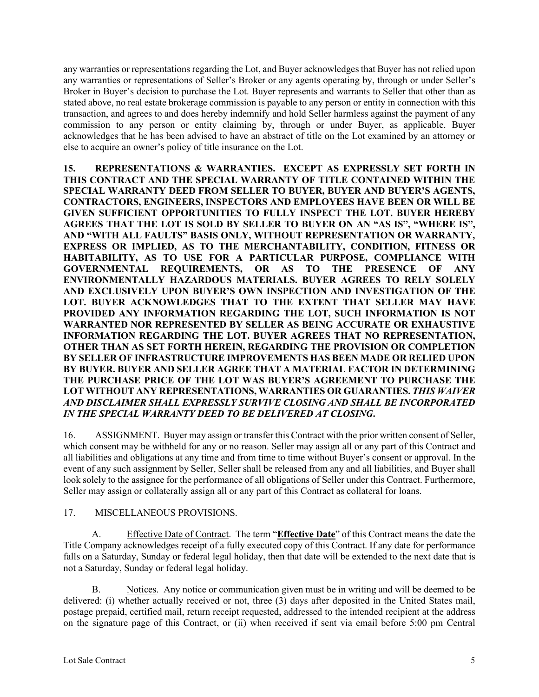any warranties or representations regarding the Lot, and Buyer acknowledges that Buyer has not relied upon any warranties or representations of Seller's Broker or any agents operating by, through or under Seller's Broker in Buyer's decision to purchase the Lot. Buyer represents and warrants to Seller that other than as stated above, no real estate brokerage commission is payable to any person or entity in connection with this transaction, and agrees to and does hereby indemnify and hold Seller harmless against the payment of any commission to any person or entity claiming by, through or under Buyer, as applicable. Buyer acknowledges that he has been advised to have an abstract of title on the Lot examined by an attorney or else to acquire an owner's policy of title insurance on the Lot.

**15. REPRESENTATIONS & WARRANTIES. EXCEPT AS EXPRESSLY SET FORTH IN THIS CONTRACT AND THE SPECIAL WARRANTY OF TITLE CONTAINED WITHIN THE SPECIAL WARRANTY DEED FROM SELLER TO BUYER, BUYER AND BUYER'S AGENTS, CONTRACTORS, ENGINEERS, INSPECTORS AND EMPLOYEES HAVE BEEN OR WILL BE GIVEN SUFFICIENT OPPORTUNITIES TO FULLY INSPECT THE LOT. BUYER HEREBY AGREES THAT THE LOT IS SOLD BY SELLER TO BUYER ON AN "AS IS", "WHERE IS", AND "WITH ALL FAULTS" BASIS ONLY, WITHOUT REPRESENTATION OR WARRANTY, EXPRESS OR IMPLIED, AS TO THE MERCHANTABILITY, CONDITION, FITNESS OR HABITABILITY, AS TO USE FOR A PARTICULAR PURPOSE, COMPLIANCE WITH GOVERNMENTAL REQUIREMENTS, OR AS TO THE PRESENCE OF ANY ENVIRONMENTALLY HAZARDOUS MATERIALS. BUYER AGREES TO RELY SOLELY AND EXCLUSIVELY UPON BUYER'S OWN INSPECTION AND INVESTIGATION OF THE LOT. BUYER ACKNOWLEDGES THAT TO THE EXTENT THAT SELLER MAY HAVE PROVIDED ANY INFORMATION REGARDING THE LOT, SUCH INFORMATION IS NOT WARRANTED NOR REPRESENTED BY SELLER AS BEING ACCURATE OR EXHAUSTIVE INFORMATION REGARDING THE LOT. BUYER AGREES THAT NO REPRESENTATION, OTHER THAN AS SET FORTH HEREIN, REGARDING THE PROVISION OR COMPLETION BY SELLER OF INFRASTRUCTURE IMPROVEMENTS HAS BEEN MADE OR RELIED UPON BY BUYER. BUYER AND SELLER AGREE THAT A MATERIAL FACTOR IN DETERMINING THE PURCHASE PRICE OF THE LOT WAS BUYER'S AGREEMENT TO PURCHASE THE LOT WITHOUT ANY REPRESENTATIONS, WARRANTIES OR GUARANTIES.** *THIS WAIVER AND DISCLAIMER SHALL EXPRESSLY SURVIVE CLOSING AND SHALL BE INCORPORATED IN THE SPECIAL WARRANTY DEED TO BE DELIVERED AT CLOSING***.**

16. ASSIGNMENT. Buyer may assign or transfer this Contract with the prior written consent of Seller, which consent may be withheld for any or no reason. Seller may assign all or any part of this Contract and all liabilities and obligations at any time and from time to time without Buyer's consent or approval. In the event of any such assignment by Seller, Seller shall be released from any and all liabilities, and Buyer shall look solely to the assignee for the performance of all obligations of Seller under this Contract. Furthermore, Seller may assign or collaterally assign all or any part of this Contract as collateral for loans.

## 17. MISCELLANEOUS PROVISIONS.

A. Effective Date of Contract. The term "**Effective Date**" of this Contract means the date the Title Company acknowledges receipt of a fully executed copy of this Contract. If any date for performance falls on a Saturday, Sunday or federal legal holiday, then that date will be extended to the next date that is not a Saturday, Sunday or federal legal holiday.

B. Notices. Any notice or communication given must be in writing and will be deemed to be delivered: (i) whether actually received or not, three (3) days after deposited in the United States mail, postage prepaid, certified mail, return receipt requested, addressed to the intended recipient at the address on the signature page of this Contract, or (ii) when received if sent via email before 5:00 pm Central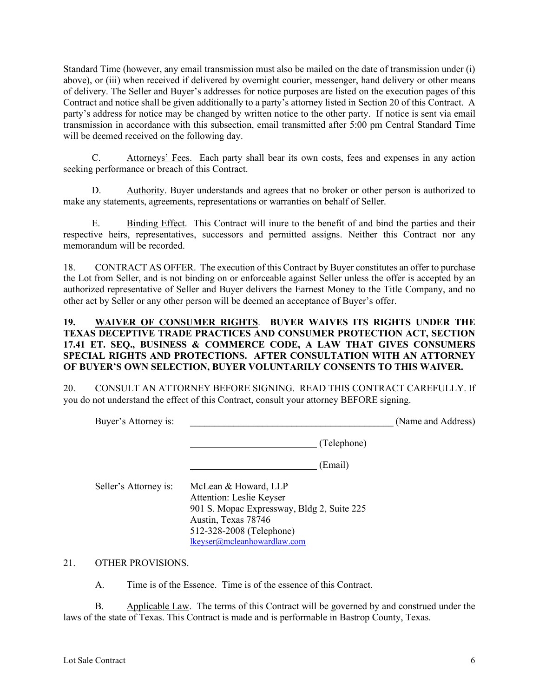Standard Time (however, any email transmission must also be mailed on the date of transmission under (i) above), or (iii) when received if delivered by overnight courier, messenger, hand delivery or other means of delivery. The Seller and Buyer's addresses for notice purposes are listed on the execution pages of this Contract and notice shall be given additionally to a party's attorney listed in Section 20 of this Contract. A party's address for notice may be changed by written notice to the other party. If notice is sent via email transmission in accordance with this subsection, email transmitted after 5:00 pm Central Standard Time will be deemed received on the following day.

C. Attorneys' Fees. Each party shall bear its own costs, fees and expenses in any action seeking performance or breach of this Contract.

D. Authority. Buyer understands and agrees that no broker or other person is authorized to make any statements, agreements, representations or warranties on behalf of Seller.

E. Binding Effect. This Contract will inure to the benefit of and bind the parties and their respective heirs, representatives, successors and permitted assigns. Neither this Contract nor any memorandum will be recorded.

18. CONTRACT AS OFFER. The execution of this Contract by Buyer constitutes an offer to purchase the Lot from Seller, and is not binding on or enforceable against Seller unless the offer is accepted by an authorized representative of Seller and Buyer delivers the Earnest Money to the Title Company, and no other act by Seller or any other person will be deemed an acceptance of Buyer's offer.

### **19. WAIVER OF CONSUMER RIGHTS**. **BUYER WAIVES ITS RIGHTS UNDER THE TEXAS DECEPTIVE TRADE PRACTICES AND CONSUMER PROTECTION ACT, SECTION 17.41 ET. SEQ., BUSINESS & COMMERCE CODE, A LAW THAT GIVES CONSUMERS SPECIAL RIGHTS AND PROTECTIONS. AFTER CONSULTATION WITH AN ATTORNEY OF BUYER'S OWN SELECTION, BUYER VOLUNTARILY CONSENTS TO THIS WAIVER.**

20. CONSULT AN ATTORNEY BEFORE SIGNING. READ THIS CONTRACT CAREFULLY. If you do not understand the effect of this Contract, consult your attorney BEFORE signing.

| Buyer's Attorney is:  |                                                                                                                                                   | (Name and Address) |
|-----------------------|---------------------------------------------------------------------------------------------------------------------------------------------------|--------------------|
|                       | (Telephone)                                                                                                                                       |                    |
|                       | (Email)                                                                                                                                           |                    |
| Seller's Attorney is: | McLean & Howard, LLP<br>Attention: Leslie Keyser<br>901 S. Mopac Expressway, Bldg 2, Suite 225<br>Austin, Texas 78746<br>512-328-2008 (Telephone) |                    |
|                       | lkeyser@mcleanhowardlaw.com                                                                                                                       |                    |

### 21. OTHER PROVISIONS.

A. Time is of the Essence. Time is of the essence of this Contract.

B. Applicable Law. The terms of this Contract will be governed by and construed under the laws of the state of Texas. This Contract is made and is performable in Bastrop County, Texas.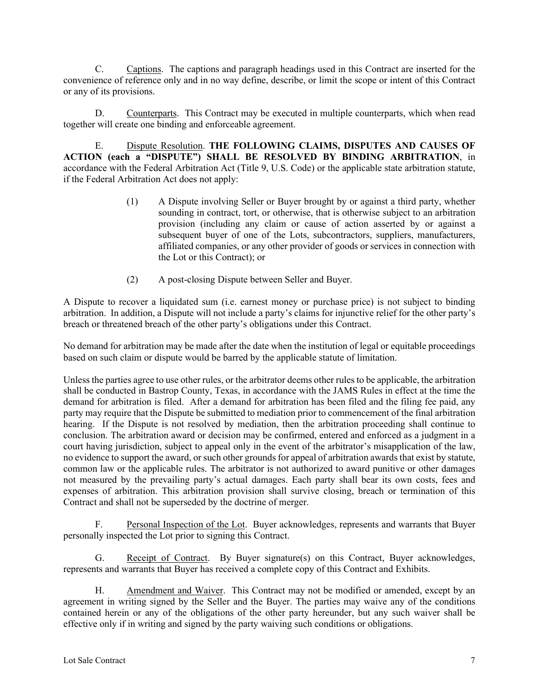C. Captions. The captions and paragraph headings used in this Contract are inserted for the convenience of reference only and in no way define, describe, or limit the scope or intent of this Contract or any of its provisions.

D. Counterparts. This Contract may be executed in multiple counterparts, which when read together will create one binding and enforceable agreement.

E. Dispute Resolution. **THE FOLLOWING CLAIMS, DISPUTES AND CAUSES OF ACTION (each a "DISPUTE") SHALL BE RESOLVED BY BINDING ARBITRATION**, in accordance with the Federal Arbitration Act (Title 9, U.S. Code) or the applicable state arbitration statute, if the Federal Arbitration Act does not apply:

- (1) A Dispute involving Seller or Buyer brought by or against a third party, whether sounding in contract, tort, or otherwise, that is otherwise subject to an arbitration provision (including any claim or cause of action asserted by or against a subsequent buyer of one of the Lots, subcontractors, suppliers, manufacturers, affiliated companies, or any other provider of goods or services in connection with the Lot or this Contract); or
- (2) A post-closing Dispute between Seller and Buyer.

A Dispute to recover a liquidated sum (i.e. earnest money or purchase price) is not subject to binding arbitration. In addition, a Dispute will not include a party's claims for injunctive relief for the other party's breach or threatened breach of the other party's obligations under this Contract.

No demand for arbitration may be made after the date when the institution of legal or equitable proceedings based on such claim or dispute would be barred by the applicable statute of limitation.

Unless the parties agree to use other rules, or the arbitrator deems other rules to be applicable, the arbitration shall be conducted in Bastrop County, Texas, in accordance with the JAMS Rules in effect at the time the demand for arbitration is filed. After a demand for arbitration has been filed and the filing fee paid, any party may require that the Dispute be submitted to mediation prior to commencement of the final arbitration hearing. If the Dispute is not resolved by mediation, then the arbitration proceeding shall continue to conclusion. The arbitration award or decision may be confirmed, entered and enforced as a judgment in a court having jurisdiction, subject to appeal only in the event of the arbitrator's misapplication of the law, no evidence to support the award, or such other grounds for appeal of arbitration awards that exist by statute, common law or the applicable rules. The arbitrator is not authorized to award punitive or other damages not measured by the prevailing party's actual damages. Each party shall bear its own costs, fees and expenses of arbitration. This arbitration provision shall survive closing, breach or termination of this Contract and shall not be superseded by the doctrine of merger.

F. Personal Inspection of the Lot. Buyer acknowledges, represents and warrants that Buyer personally inspected the Lot prior to signing this Contract.

G. Receipt of Contract. By Buyer signature(s) on this Contract, Buyer acknowledges, represents and warrants that Buyer has received a complete copy of this Contract and Exhibits.

H. Amendment and Waiver.This Contract may not be modified or amended, except by an agreement in writing signed by the Seller and the Buyer. The parties may waive any of the conditions contained herein or any of the obligations of the other party hereunder, but any such waiver shall be effective only if in writing and signed by the party waiving such conditions or obligations.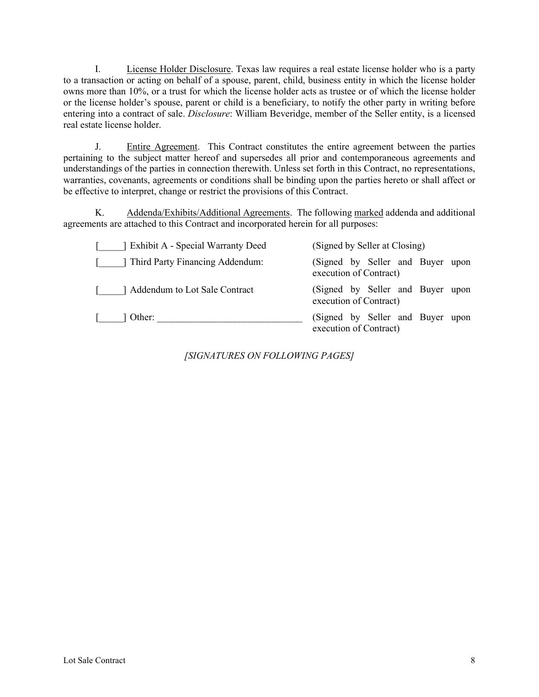I. License Holder Disclosure. Texas law requires a real estate license holder who is a party to a transaction or acting on behalf of a spouse, parent, child, business entity in which the license holder owns more than 10%, or a trust for which the license holder acts as trustee or of which the license holder or the license holder's spouse, parent or child is a beneficiary, to notify the other party in writing before entering into a contract of sale. *Disclosure*: William Beveridge, member of the Seller entity, is a licensed real estate license holder.

J. Entire Agreement.This Contract constitutes the entire agreement between the parties pertaining to the subject matter hereof and supersedes all prior and contemporaneous agreements and understandings of the parties in connection therewith. Unless set forth in this Contract, no representations, warranties, covenants, agreements or conditions shall be binding upon the parties hereto or shall affect or be effective to interpret, change or restrict the provisions of this Contract.

K. Addenda/Exhibits/Additional Agreements. The following marked addenda and additional agreements are attached to this Contract and incorporated herein for all purposes:

| Exhibit A - Special Warranty Deed | (Signed by Seller at Closing)                              |
|-----------------------------------|------------------------------------------------------------|
| Third Party Financing Addendum:   | (Signed by Seller and Buyer upon<br>execution of Contract) |
| Addendum to Lot Sale Contract     | (Signed by Seller and Buyer upon<br>execution of Contract) |
| 1 Other:                          | (Signed by Seller and Buyer upon<br>execution of Contract) |

*[SIGNATURES ON FOLLOWING PAGES]*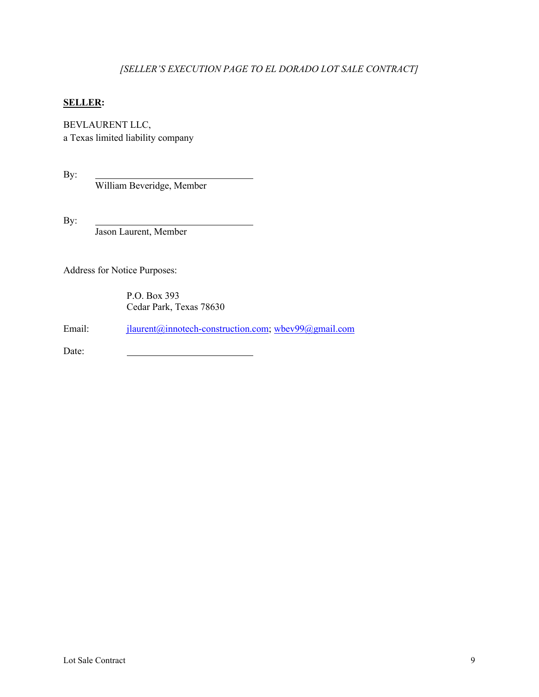## *[SELLER'S EXECUTION PAGE TO EL DORADO LOT SALE CONTRACT]*

#### **SELLER:**

BEVLAURENT LLC,

a Texas limited liability company

By:

William Beveridge, Member

By:

Jason Laurent, Member

Address for Notice Purposes:

P.O. Box 393 Cedar Park, Texas 78630

Email: jlaurent@innotech-construction.com; wbev99@gmail.com

Date: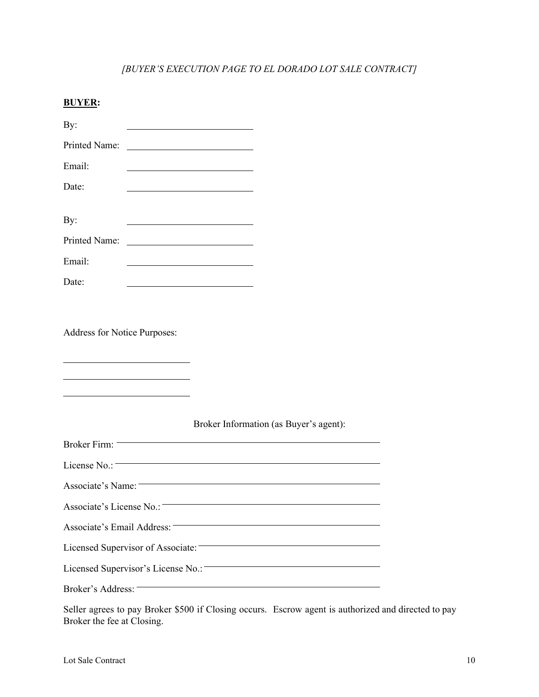# *[BUYER'S EXECUTION PAGE TO EL DORADO LOT SALE CONTRACT]*

| <b>BUYER:</b>                      |                                                                                                                        |
|------------------------------------|------------------------------------------------------------------------------------------------------------------------|
| By:                                |                                                                                                                        |
| Printed Name:                      |                                                                                                                        |
| Email:                             | <u> 1989 - Johann John Stone, Amerikaansk politiker (</u>                                                              |
| Date:                              | <u> 1989 - Johann Stein, mars an t-Amerikaansk ferskeinder (* 1958)</u>                                                |
| By:                                | <u> 1989 - Johann Stoff, deutscher Stoffen und der Stoffen und der Stoffen und der Stoffen und der Stoffen und der</u> |
| Printed Name:                      | <u> 1989 - Johann Barn, fransk politik (d. 1989)</u>                                                                   |
| Email:                             | <u> 1989 - Johann Barbara, martxa alemaniar a</u>                                                                      |
| Date:                              | <u> 1989 - Johann Barbara, martxa alemaniar a</u>                                                                      |
|                                    |                                                                                                                        |
| Address for Notice Purposes:       |                                                                                                                        |
|                                    | Broker Information (as Buyer's agent):                                                                                 |
| Broker Firm:                       |                                                                                                                        |
| License $No.$ :                    |                                                                                                                        |
| Associate's Name:                  |                                                                                                                        |
|                                    |                                                                                                                        |
| Associate's License No.:-          |                                                                                                                        |
| Associate's Email Address: -       | <u> 1989 - Johann Barn, mars ann an t-Amhain an t-Amhain an t-Amhain an t-Amhain an t-Amhain an t-Amhain an t-Amh</u>  |
| Licensed Supervisor of Associate:  |                                                                                                                        |
| Licensed Supervisor's License No.: |                                                                                                                        |

Seller agrees to pay Broker \$500 if Closing occurs. Escrow agent is authorized and directed to pay Broker the fee at Closing.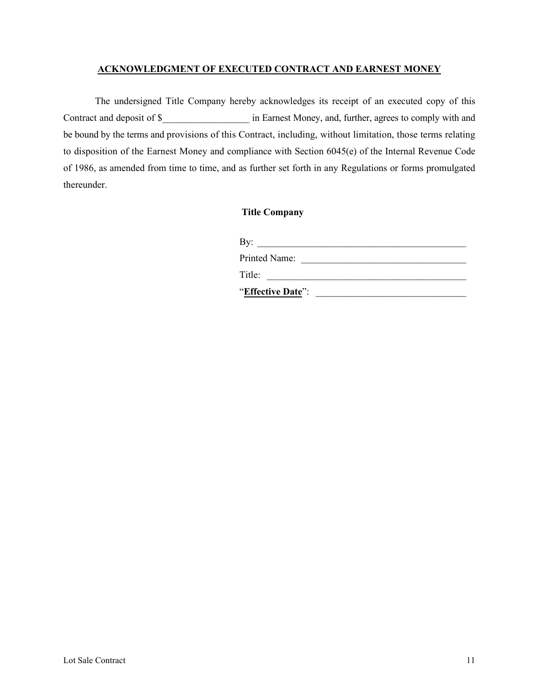### **ACKNOWLEDGMENT OF EXECUTED CONTRACT AND EARNEST MONEY**

The undersigned Title Company hereby acknowledges its receipt of an executed copy of this Contract and deposit of \$ contract and deposit of \$ contract Money, and, further, agrees to comply with and be bound by the terms and provisions of this Contract, including, without limitation, those terms relating to disposition of the Earnest Money and compliance with Section 6045(e) of the Internal Revenue Code of 1986, as amended from time to time, and as further set forth in any Regulations or forms promulgated thereunder.

## **Title Company**

| By:                  |  |
|----------------------|--|
| <b>Printed Name:</b> |  |
| Title:               |  |
| "Effective Date":    |  |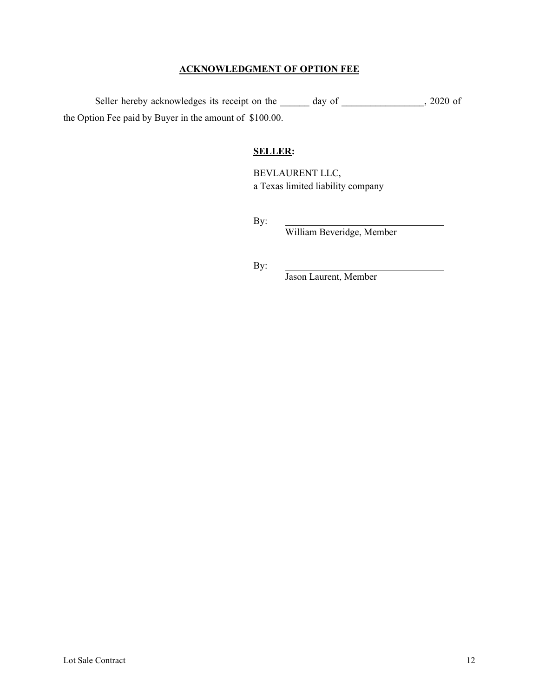## **ACKNOWLEDGMENT OF OPTION FEE**

Seller hereby acknowledges its receipt on the \_\_\_\_\_\_ day of \_\_\_\_\_\_\_\_\_\_\_\_, 2020 of the Option Fee paid by Buyer in the amount of \$100.00.

### **SELLER:**

BEVLAURENT LLC, a Texas limited liability company

By:

William Beveridge, Member

By:

Jason Laurent, Member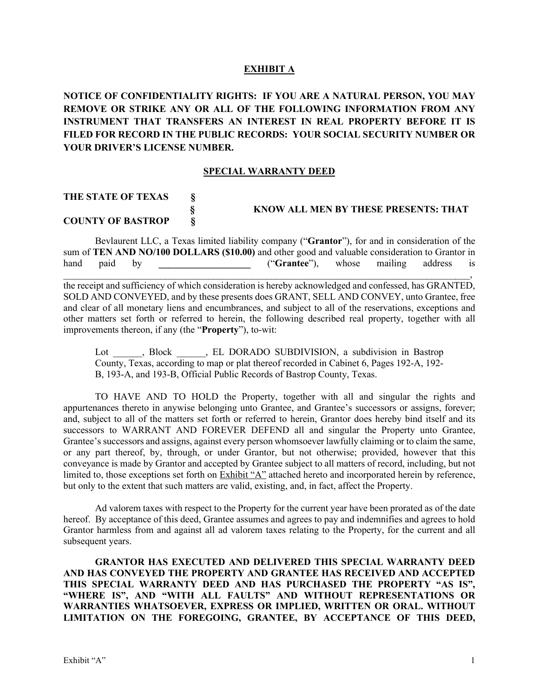#### **EXHIBIT A**

**NOTICE OF CONFIDENTIALITY RIGHTS: IF YOU ARE A NATURAL PERSON, YOU MAY REMOVE OR STRIKE ANY OR ALL OF THE FOLLOWING INFORMATION FROM ANY INSTRUMENT THAT TRANSFERS AN INTEREST IN REAL PROPERTY BEFORE IT IS FILED FOR RECORD IN THE PUBLIC RECORDS: YOUR SOCIAL SECURITY NUMBER OR YOUR DRIVER'S LICENSE NUMBER.**

#### **SPECIAL WARRANTY DEED**

#### **THE STATE OF TEXAS §**

# **§ KNOW ALL MEN BY THESE PRESENTS: THAT COUNTY OF BASTROP**

Bevlaurent LLC, a Texas limited liability company ("**Grantor**"), for and in consideration of the sum of **TEN AND NO/100 DOLLARS (\$10.00)** and other good and valuable consideration to Grantor in hand paid by **the contract of the contract of the contract of the contract of the contract of the contract of the contract of the contract of the contract of the contract of the contract of the contract of the contract of**  $\blacksquare$ 

the receipt and sufficiency of which consideration is hereby acknowledged and confessed, has GRANTED, SOLD AND CONVEYED, and by these presents does GRANT, SELL AND CONVEY, unto Grantee, free and clear of all monetary liens and encumbrances, and subject to all of the reservations, exceptions and other matters set forth or referred to herein, the following described real property, together with all improvements thereon, if any (the "**Property**"), to-wit:

Lot , Block , EL DORADO SUBDIVISION, a subdivision in Bastrop County, Texas, according to map or plat thereof recorded in Cabinet 6, Pages 192-A, 192- B, 193-A, and 193-B, Official Public Records of Bastrop County, Texas.

TO HAVE AND TO HOLD the Property, together with all and singular the rights and appurtenances thereto in anywise belonging unto Grantee, and Grantee's successors or assigns, forever; and, subject to all of the matters set forth or referred to herein, Grantor does hereby bind itself and its successors to WARRANT AND FOREVER DEFEND all and singular the Property unto Grantee, Grantee's successors and assigns, against every person whomsoever lawfully claiming or to claim the same, or any part thereof, by, through, or under Grantor, but not otherwise; provided, however that this conveyance is made by Grantor and accepted by Grantee subject to all matters of record, including, but not limited to, those exceptions set forth on Exhibit "A" attached hereto and incorporated herein by reference, but only to the extent that such matters are valid, existing, and, in fact, affect the Property.

Ad valorem taxes with respect to the Property for the current year have been prorated as of the date hereof. By acceptance of this deed, Grantee assumes and agrees to pay and indemnifies and agrees to hold Grantor harmless from and against all ad valorem taxes relating to the Property, for the current and all subsequent years.

**GRANTOR HAS EXECUTED AND DELIVERED THIS SPECIAL WARRANTY DEED AND HAS CONVEYED THE PROPERTY AND GRANTEE HAS RECEIVED AND ACCEPTED THIS SPECIAL WARRANTY DEED AND HAS PURCHASED THE PROPERTY "AS IS", "WHERE IS", AND "WITH ALL FAULTS" AND WITHOUT REPRESENTATIONS OR WARRANTIES WHATSOEVER, EXPRESS OR IMPLIED, WRITTEN OR ORAL. WITHOUT LIMITATION ON THE FOREGOING, GRANTEE, BY ACCEPTANCE OF THIS DEED,**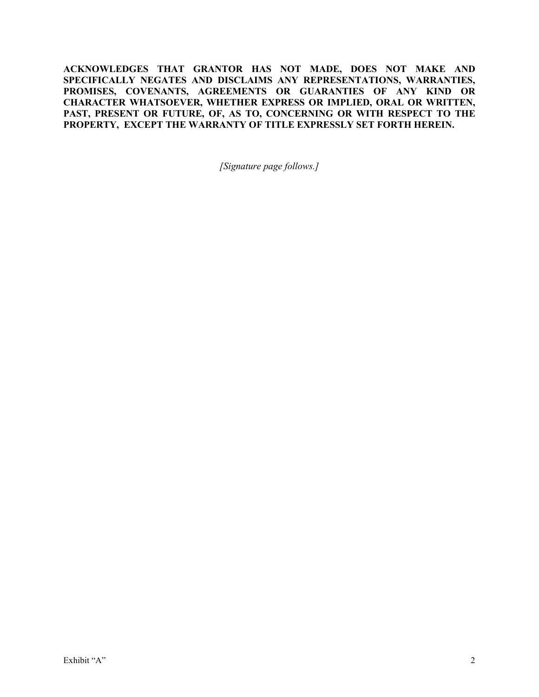**ACKNOWLEDGES THAT GRANTOR HAS NOT MADE, DOES NOT MAKE AND SPECIFICALLY NEGATES AND DISCLAIMS ANY REPRESENTATIONS, WARRANTIES, PROMISES, COVENANTS, AGREEMENTS OR GUARANTIES OF ANY KIND OR CHARACTER WHATSOEVER, WHETHER EXPRESS OR IMPLIED, ORAL OR WRITTEN, PAST, PRESENT OR FUTURE, OF, AS TO, CONCERNING OR WITH RESPECT TO THE PROPERTY, EXCEPT THE WARRANTY OF TITLE EXPRESSLY SET FORTH HEREIN.**

*[Signature page follows.]*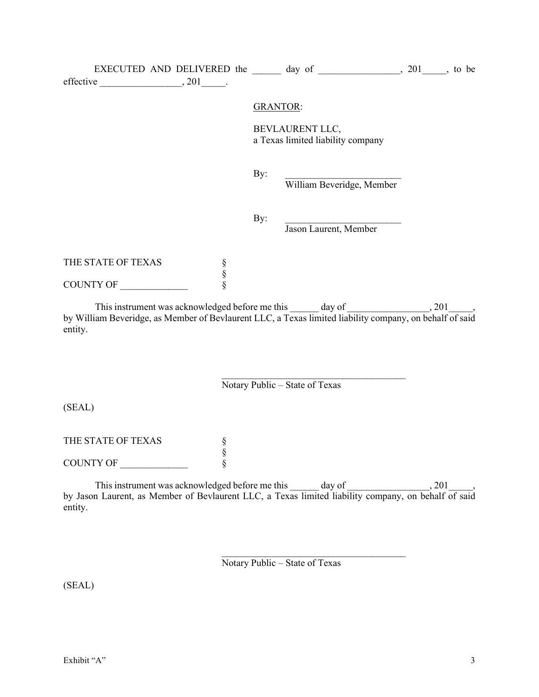|                    |        |                 | EXECUTED AND DELIVERED the $\_\_\_\_\$ day of $\_\_\_\_\_\_\_$ , 201, to be      |       |
|--------------------|--------|-----------------|----------------------------------------------------------------------------------|-------|
|                    |        |                 |                                                                                  |       |
|                    |        | <b>GRANTOR:</b> |                                                                                  |       |
|                    |        |                 | BEVLAURENT LLC,<br>a Texas limited liability company                             |       |
|                    |        | By:             | William Beveridge, Member                                                        |       |
|                    |        | By:             | <u> 1989 - Johann Barbara, martxa alemaniar a</u><br>Jason Laurent, Member       |       |
| THE STATE OF TEXAS | §<br>§ |                 |                                                                                  |       |
| COUNTY OF          | Ş      |                 |                                                                                  |       |
|                    |        |                 | This instrument was acknowledged before me this ______ day of __________________ | , 201 |

by William Beveridge, as Member of Bevlaurent LLC, a Texas limited liability company, on behalf of said entity.

Notary Public – State of Texas

\_\_\_\_\_\_\_\_\_\_\_\_\_\_\_\_\_\_\_\_\_\_\_\_\_\_\_\_\_\_\_\_\_\_\_\_\_\_

 $\mathcal{L}_\text{max}$  , and the set of the set of the set of the set of the set of the set of the set of the set of the set of the set of the set of the set of the set of the set of the set of the set of the set of the set of the

(SEAL)

THE STATE OF TEXAS  $\begin{array}{ccc}\n\text{S} \\
\text{S} \\
\text{S}\n\end{array}$ §

COUNTY OF \_\_\_\_\_\_\_\_\_\_\_\_\_\_ §

This instrument was acknowledged before me this  $\_\_\_\_$  day of  $\_\_\_\_\_$ , 201 $\_\_\_\,,$ by Jason Laurent, as Member of Bevlaurent LLC, a Texas limited liability company, on behalf of said entity.

Notary Public – State of Texas

(SEAL)